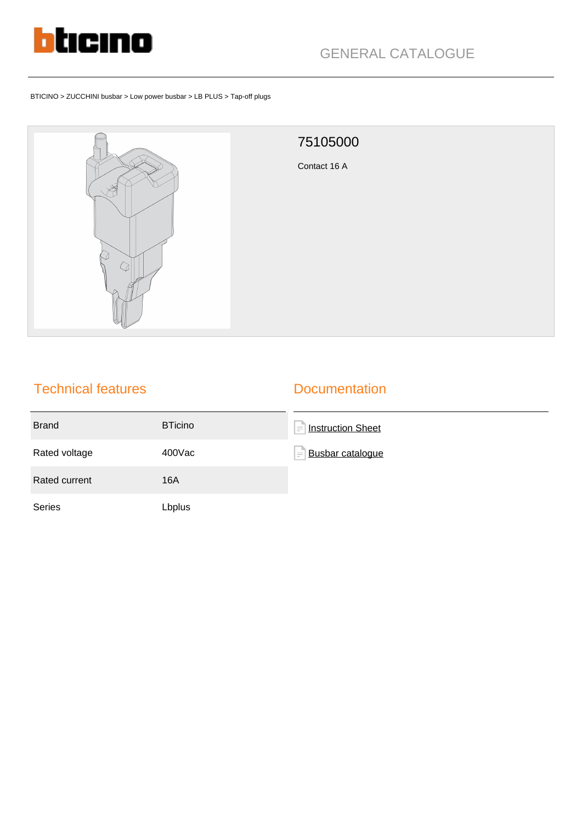

#### BTICINO > ZUCCHINI busbar > Low power busbar > LB PLUS > Tap-off plugs



# 75105000 Contact 16 A

## Technical features

#### **Documentation**

| <b>Brand</b>  | <b>BTicino</b> | Ē<br><b>Instruction Sheet</b> |
|---------------|----------------|-------------------------------|
| Rated voltage | 400Vac         | Busbar catalogue<br>$\equiv$  |
| Rated current | 16A            |                               |
| Series        | Lbplus         |                               |